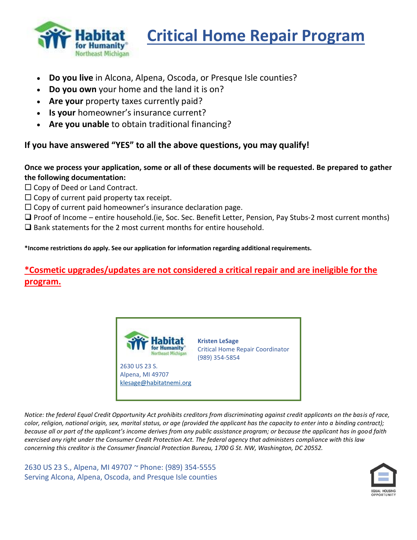

# **Critical Home Repair Program**

- **Do you live** in Alcona, Alpena, Oscoda, or Presque Isle counties?
- **Do you own** your home and the land it is on?
- **Are your** property taxes currently paid?
- **Is your** homeowner's insurance current?
- **Are you unable** to obtain traditional financing?

## **If you have answered "YES" to all the above questions, you may qualify!**

#### **Once we process your application, some or all of these documents will be requested. Be prepared to gather the following documentation:**

- $\square$  Copy of Deed or Land Contract.
- $\square$  Copy of current paid property tax receipt.
- $\Box$  Copy of current paid homeowner's insurance declaration page.
- ❑ Proof of Income entire household.(ie, Soc. Sec. Benefit Letter, Pension, Pay Stubs-2 most current months) ❑ Bank statements for the 2 most current months for entire household.

**\*Income restrictions do apply. See our application for information regarding additional requirements.**

# **\*Cosmetic upgrades/updates are not considered a critical repair and are ineligible for the program.**



*Notice: the federal Equal Credit Opportunity Act prohibits creditors from discriminating against credit applicants on the basis of race, color, religion, national origin, sex, marital status, or age (provided the applicant has the capacity to enter into a binding contract); because all or part of the applicant's income derives from any public assistance program; or because the applicant has in good faith exercised any right under the Consumer Credit Protection Act. The federal agency that administers compliance with this law concerning this creditor is the Consumer financial Protection Bureau, 1700 G St. NW, Washington, DC 20552.*

2630 US 23 S., Alpena, MI 49707 ~ Phone: (989) 354-5555 Serving Alcona, Alpena, Oscoda, and Presque Isle counties

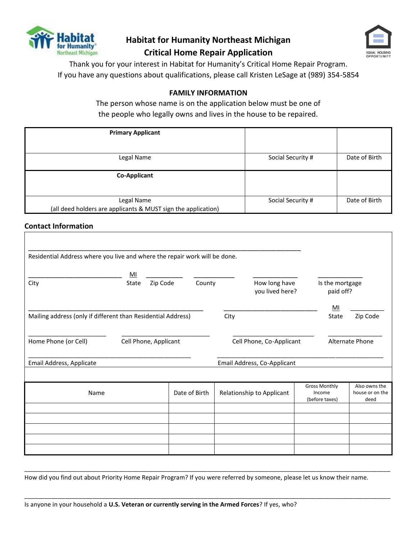

# **Habitat for Humanity Northeast Michigan**



**Critical Home Repair Application**

Thank you for your interest in Habitat for Humanity's Critical Home Repair Program. If you have any questions about qualifications, please call Kristen LeSage at (989) 354-5854

#### **FAMILY INFORMATION**

The person whose name is on the application below must be one of the people who legally owns and lives in the house to be repaired.

| <b>Primary Applicant</b>                                                    |                   |               |
|-----------------------------------------------------------------------------|-------------------|---------------|
| Legal Name                                                                  | Social Security # | Date of Birth |
| <b>Co-Applicant</b>                                                         |                   |               |
| Legal Name<br>(all deed holders are applicants & MUST sign the application) | Social Security # | Date of Birth |

#### **Contact Information**

| Residential Address where you live and where the repair work will be done. |       |                       |               |      |                                  |                                                  |                                          |
|----------------------------------------------------------------------------|-------|-----------------------|---------------|------|----------------------------------|--------------------------------------------------|------------------------------------------|
|                                                                            | MI    |                       |               |      |                                  |                                                  |                                          |
| City                                                                       | State | Zip Code              | County        |      | How long have<br>you lived here? | Is the mortgage<br>paid off?                     |                                          |
|                                                                            |       |                       |               |      |                                  | MI                                               |                                          |
| Mailing address (only if different than Residential Address)               |       |                       |               | City |                                  | State                                            | Zip Code                                 |
|                                                                            |       |                       |               |      |                                  |                                                  |                                          |
| Home Phone (or Cell)                                                       |       | Cell Phone, Applicant |               |      | Cell Phone, Co-Applicant         |                                                  | <b>Alternate Phone</b>                   |
|                                                                            |       |                       |               |      |                                  |                                                  |                                          |
| Email Address, Applicate                                                   |       |                       |               |      | Email Address, Co-Applicant      |                                                  |                                          |
|                                                                            |       |                       |               |      |                                  |                                                  |                                          |
| Name                                                                       |       |                       | Date of Birth |      | Relationship to Applicant        | <b>Gross Monthly</b><br>Income<br>(before taxes) | Also owns the<br>house or on the<br>deed |
|                                                                            |       |                       |               |      |                                  |                                                  |                                          |
|                                                                            |       |                       |               |      |                                  |                                                  |                                          |
|                                                                            |       |                       |               |      |                                  |                                                  |                                          |
|                                                                            |       |                       |               |      |                                  |                                                  |                                          |
|                                                                            |       |                       |               |      |                                  |                                                  |                                          |

How did you find out about Priority Home Repair Program? If you were referred by someone, please let us know their name.

\_\_\_\_\_\_\_\_\_\_\_\_\_\_\_\_\_\_\_\_\_\_\_\_\_\_\_\_\_\_\_\_\_\_\_\_\_\_\_\_\_\_\_\_\_\_\_\_\_\_\_\_\_\_\_\_\_\_\_\_\_\_\_\_\_\_\_\_\_\_\_\_\_\_\_\_\_\_\_\_\_\_\_\_\_\_\_\_\_\_\_\_\_\_\_\_\_\_\_\_\_\_\_\_\_\_\_\_

\_\_\_\_\_\_\_\_\_\_\_\_\_\_\_\_\_\_\_\_\_\_\_\_\_\_\_\_\_\_\_\_\_\_\_\_\_\_\_\_\_\_\_\_\_\_\_\_\_\_\_\_\_\_\_\_\_\_\_\_\_\_\_\_\_\_\_\_\_\_\_\_\_\_\_\_\_\_\_\_\_\_\_\_\_\_\_\_\_\_\_\_\_\_\_\_\_\_\_\_\_\_\_\_\_\_\_\_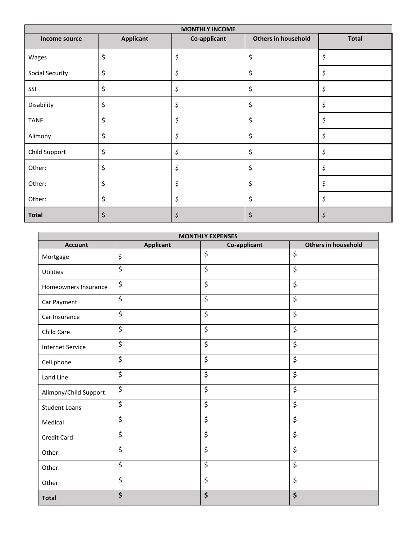| <b>MONTHLY INCOME</b> |                  |              |                            |              |
|-----------------------|------------------|--------------|----------------------------|--------------|
| Income source         | <b>Applicant</b> | Co-applicant | <b>Others in household</b> | <b>Total</b> |
| Wages                 | \$               | \$           | \$                         | \$           |
| Social Security       | \$               | \$           | \$                         | \$           |
| SSI                   | \$               | \$           | \$                         | \$           |
| Disability            | \$               | \$           | \$                         | \$           |
| <b>TANF</b>           | \$               | \$           | \$                         | \$           |
| Alimony               | \$               | \$           | \$                         | \$           |
| Child Support         | \$               | \$           | \$                         | \$           |
| Other:                | \$               | \$           | \$                         | \$           |
| Other:                | \$               | \$           | \$                         | \$           |
| Other:                | \$               | \$           | \$                         | \$           |
| <b>Total</b>          | \$               | \$           | \$                         | \$           |

| <b>MONTHLY EXPENSES</b> |                        |                  |                                 |  |
|-------------------------|------------------------|------------------|---------------------------------|--|
| <b>Account</b>          | <b>Applicant</b>       | Co-applicant     | <b>Others in household</b>      |  |
| Mortgage                | \$                     | \$               | \$                              |  |
| Utilities               | \$                     | \$               | \$                              |  |
| Homeowners Insurance    | \$                     | \$               | \$                              |  |
| Car Payment             | \$                     | \$               | \$                              |  |
| Car Insurance           | \$                     | \$               | \$                              |  |
| Child Care              | $\overline{\varsigma}$ | \$               | \$                              |  |
| <b>Internet Service</b> | \$                     | \$               | \$                              |  |
| Cell phone              | \$                     | \$               | \$                              |  |
| Land Line               | \$                     | \$               | \$                              |  |
| Alimony/Child Support   | $\overline{\xi}$       | $\overline{\xi}$ | \$                              |  |
| <b>Student Loans</b>    | \$                     | \$               | $\overline{\boldsymbol{\zeta}}$ |  |
| Medical                 | \$                     | \$               | \$                              |  |
| Credit Card             | \$                     | \$               | \$                              |  |
| Other:                  | $\overline{\xi}$       | $\overline{\xi}$ | $\overline{\xi}$                |  |
| Other:                  | \$                     | $\overline{\xi}$ | $\overline{\xi}$                |  |
| Other:                  | \$                     | \$               | \$                              |  |
| <b>Total</b>            | \$                     | \$               | \$                              |  |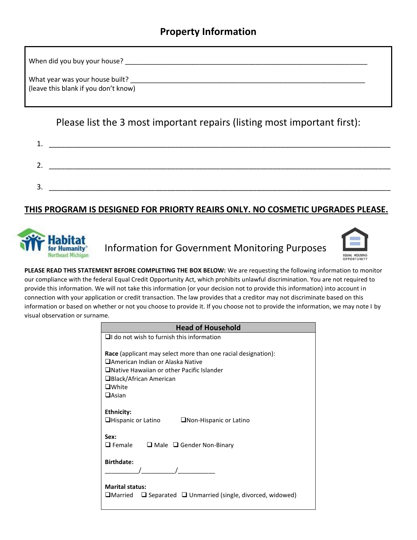# **Property Information**

When did you buy your house? \_\_\_\_\_\_\_\_\_\_\_\_\_\_\_\_\_\_\_\_\_\_\_\_\_\_\_\_\_\_\_\_\_\_\_\_\_\_\_\_\_\_\_\_\_\_\_\_\_\_\_\_\_\_\_\_\_\_\_\_\_\_\_\_\_

What year was your house built? (leave this blank if you don't know)

Please list the 3 most important repairs (listing most important first):

| ᅩ.            |  |
|---------------|--|
| -<br>$\prime$ |  |
| 2<br>، ب      |  |

## **THIS PROGRAM IS DESIGNED FOR PRIORTY REAIRS ONLY. NO COSMETIC UPGRADES PLEASE.**



Information for Government Monitoring Purposes



**PLEASE READ THIS STATEMENT BEFORE COMPLETING THE BOX BELOW:** We are requesting the following information to monitor our compliance with the federal Equal Credit Opportunity Act, which prohibits unlawful discrimination. You are not required to provide this information. We will not take this information (or your decision not to provide this information) into account in connection with your application or credit transaction. The law provides that a creditor may not discriminate based on this information or based on whether or not you choose to provide it. If you choose not to provide the information, we may note I by visual observation or surname.

| <b>Head of Household</b>                                                                                                                                                                                                    |
|-----------------------------------------------------------------------------------------------------------------------------------------------------------------------------------------------------------------------------|
| $\Box$ I do not wish to furnish this information                                                                                                                                                                            |
| <b>Race</b> (applicant may select more than one racial designation):<br>□American Indian or Alaska Native<br>$\Box$ Native Hawaiian or other Pacific Islander<br>□Black/African American<br>$\square$ White<br>$\Box$ Asian |
| Ethnicity:<br>$\Box$ Hispanic or Latino<br>$\Box$ Non-Hispanic or Latino                                                                                                                                                    |
| Sex:<br>$\Box$ Female<br>$\Box$ Male $\Box$ Gender Non-Binary                                                                                                                                                               |
| <b>Birthdate:</b>                                                                                                                                                                                                           |
| <b>Marital status:</b><br>$\Box$ Separated $\Box$ Unmarried (single, divorced, widowed)<br>$\square$ Married                                                                                                                |